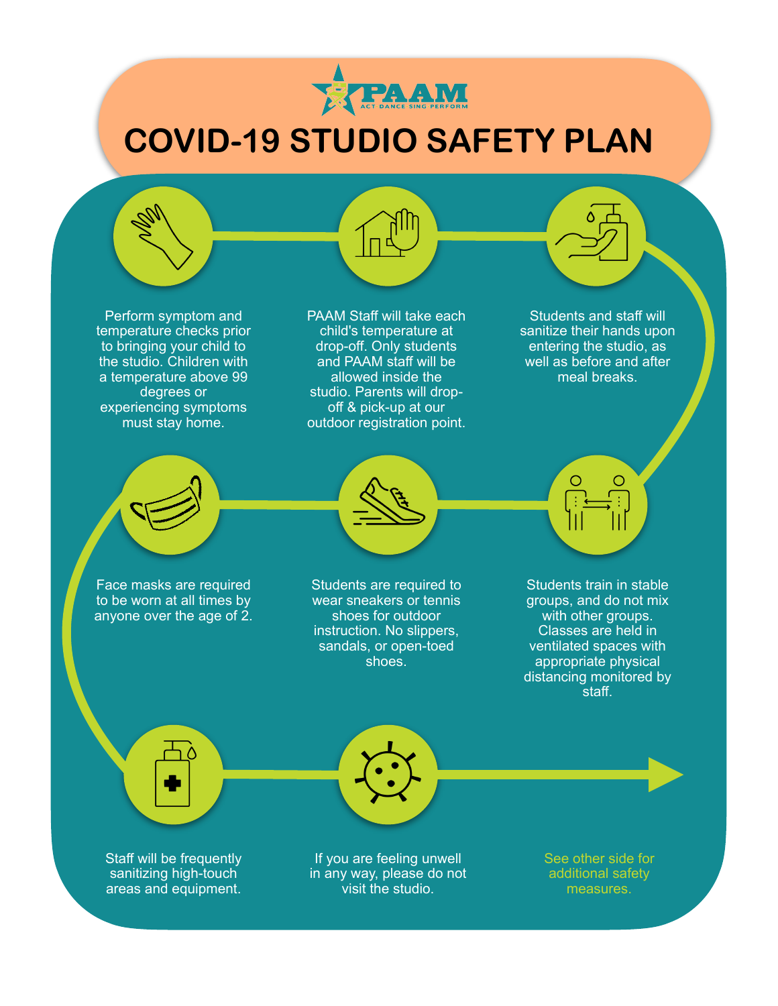

# **COVID-19 STUDIO SAFETY PLAN**

Perform symptom and temperature checks prior to bringing your child to the studio. Children with a temperature above 99 degrees or experiencing symptoms must stay home.

PAAM Staff will take each child's temperature at drop-off. Only students and PAAM staff will be allowed inside the studio. Parents will dropoff & pick-up at our outdoor registration point.

Students and staff will sanitize their hands upon entering the studio, as well as before and after meal breaks.

Face masks are required to be worn at all times by

anyone over the age of  $2$ .



Students are required to wear sneakers or tennis shoes for outdoor instruction. No slippers, sandals, or open-toed shoes.

Students train in stable groups, and do not mix with other groups. Classes are held in ventilated spaces with appropriate physical distancing monitored by  $\overline{\mathsf{stat}}$ 

Staff will be frequently sanitizing high-touch areas and equipment.

If you are feeling unwell in any way, please do not visit the studio.

See other side for additional safety measures.